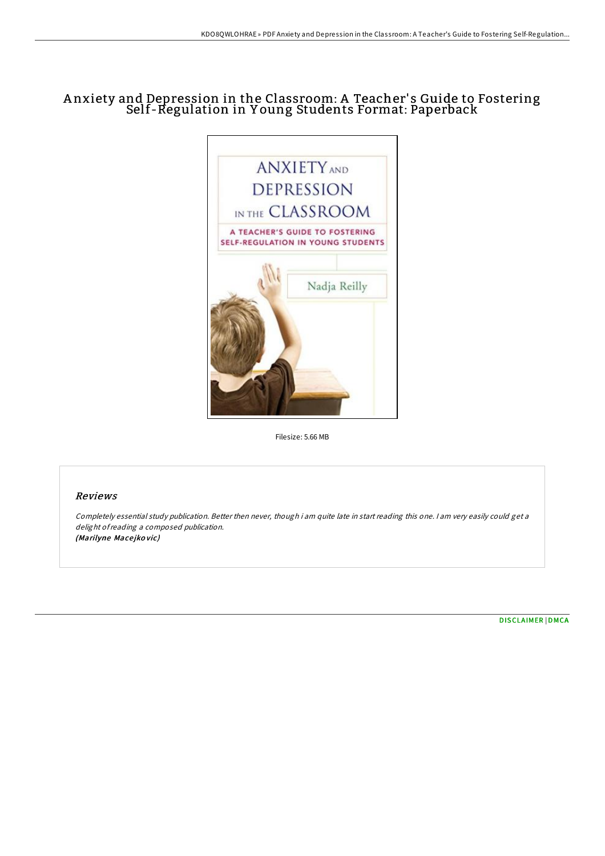## A nxiety and Depression in the Classroom: A Teacher' s Guide to Fostering Self-Regulation in Y oung Students Format: Paperback



Filesize: 5.66 MB

## Reviews

Completely essential study publication. Better then never, though i am quite late in start reading this one. I am very easily could get <sup>a</sup> delight ofreading <sup>a</sup> composed publication. (Marilyne Macejkovic)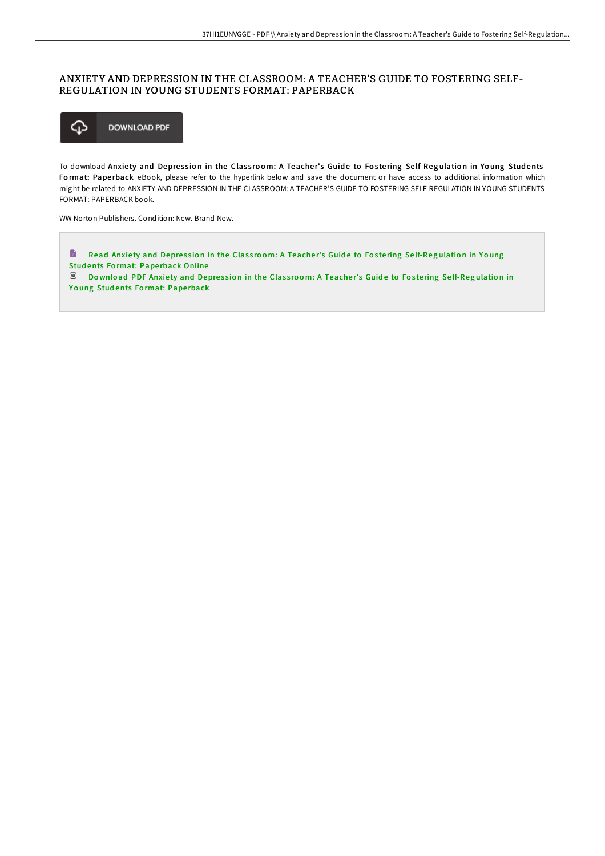## ANXIETY AND DEPRESSION IN THE CLASSROOM: A TEACHER'S GUIDE TO FOSTERING SELF-REGULATION IN YOUNG STUDENTS FORMAT: PAPERBACK



To download Anxiety and Depression in the Classroom: A Teacher's Guide to Fostering Self-Regulation in Young Students Format: Paperback eBook, please refer to the hyperlink below and save the document or have access to additional information which might be related to ANXIETY AND DEPRESSION IN THE CLASSROOM: A TEACHER'S GUIDE TO FOSTERING SELF-REGULATION IN YOUNG STUDENTS FORMAT: PAPERBACK book.

WW Norton Publishers. Condition: New. Brand New.